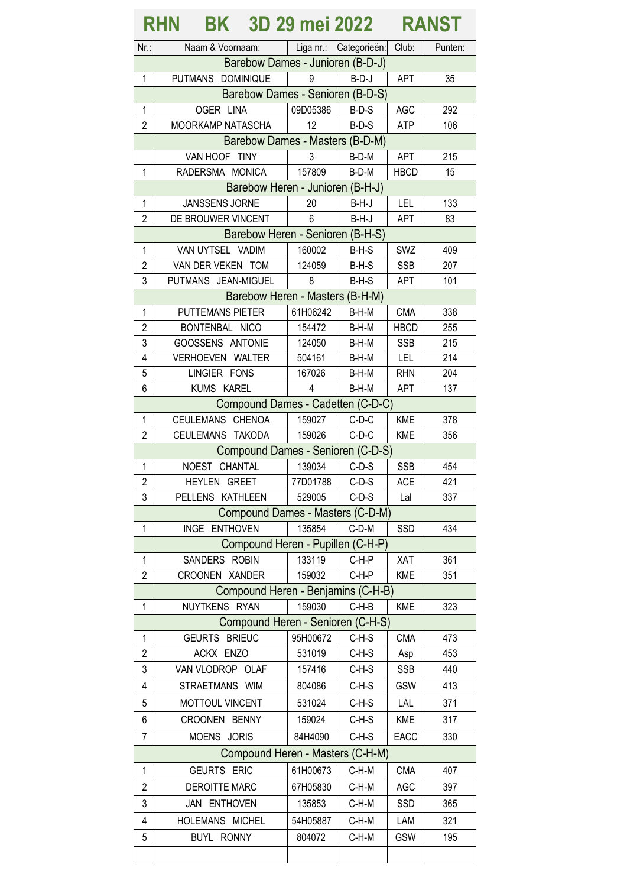## **RHN BK 3D 29 mei 2022 RANST**

| Nr:                              | Naam & Voornaam:                   |          | Liga nr.: Categorieën: Club: |             | Punten: |  |  |
|----------------------------------|------------------------------------|----------|------------------------------|-------------|---------|--|--|
| Barebow Dames - Junioren (B-D-J) |                                    |          |                              |             |         |  |  |
| 1                                | PUTMANS DOMINIQUE                  | 9        | $B-D-J$                      | <b>APT</b>  | 35      |  |  |
| Barebow Dames - Senioren (B-D-S) |                                    |          |                              |             |         |  |  |
| $\mathbf{1}$                     | OGER LINA                          | 09D05386 | $B-D-S$                      | <b>AGC</b>  | 292     |  |  |
| $\overline{2}$                   | MOORKAMP NATASCHA                  | 12       | $B-D-S$                      | <b>ATP</b>  | 106     |  |  |
| Barebow Dames - Masters (B-D-M)  |                                    |          |                              |             |         |  |  |
|                                  | VAN HOOF TINY                      | 3        | B-D-M                        | <b>APT</b>  | 215     |  |  |
| $\mathbf{1}$                     | RADERSMA MONICA                    | 157809   | B-D-M                        | <b>HBCD</b> | 15      |  |  |
|                                  | Barebow Heren - Junioren (B-H-J)   |          |                              |             |         |  |  |
| 1                                | JANSSENS JORNE                     | 20       | B-H-J                        | LEL         | 133     |  |  |
| $\overline{2}$                   | DE BROUWER VINCENT                 | 6        | $B-H-J$                      | <b>APT</b>  | 83      |  |  |
|                                  | Barebow Heren - Senioren (B-H-S)   |          |                              |             |         |  |  |
| 1                                | VAN UYTSEL VADIM                   | 160002   | $B-H-S$                      | SWZ         | 409     |  |  |
| $\overline{2}$                   | VAN DER VEKEN TOM                  | 124059   | B-H-S                        | <b>SSB</b>  | 207     |  |  |
| 3                                | PUTMANS JEAN-MIGUEL                | 8        | $B-H-S$                      | <b>APT</b>  | 101     |  |  |
|                                  | Barebow Heren - Masters (B-H-M)    |          |                              |             |         |  |  |
| $\mathbf 1$                      | <b>PUTTEMANS PIETER</b>            | 61H06242 | B-H-M                        | <b>CMA</b>  | 338     |  |  |
| $\overline{2}$                   | BONTENBAL NICO                     | 154472   | B-H-M                        | <b>HBCD</b> | 255     |  |  |
| 3                                | GOOSSENS ANTONIE                   | 124050   | B-H-M                        | <b>SSB</b>  | 215     |  |  |
| $\overline{4}$                   | VERHOEVEN WALTER                   | 504161   | B-H-M                        | LEL         | 214     |  |  |
| 5                                | LINGIER FONS                       | 167026   | $B-H-M$                      | <b>RHN</b>  | 204     |  |  |
| 6                                | KUMS KAREL                         | 4        | B-H-M                        |             | 137     |  |  |
|                                  |                                    |          |                              | <b>APT</b>  |         |  |  |
|                                  | Compound Dames - Cadetten (C-D-C)  |          |                              |             |         |  |  |
| 1                                | CEULEMANS CHENOA                   | 159027   | $C-D-C$                      | <b>KME</b>  | 378     |  |  |
| $\overline{2}$                   | CEULEMANS TAKODA                   | 159026   | $C-D-C$                      | <b>KME</b>  | 356     |  |  |
|                                  | Compound Dames - Senioren (C-D-S)  |          |                              |             |         |  |  |
| $\mathbf{1}$                     | NOEST CHANTAL                      | 139034   | $C-D-S$                      | <b>SSB</b>  | 454     |  |  |
| $\overline{2}$                   | HEYLEN GREET                       | 77D01788 | $C-D-S$                      | <b>ACE</b>  | 421     |  |  |
| 3                                | PELLENS KATHLEEN                   | 529005   | $C-D-S$                      | Lal         | 337     |  |  |
|                                  | Compound Dames - Masters (C-D-M)   |          |                              |             |         |  |  |
| 1                                | INGE ENTHOVEN                      | 135854   | $C-D-M$                      | SSD         | 434     |  |  |
|                                  | Compound Heren - Pupillen (C-H-P)  |          |                              |             |         |  |  |
| $\mathbf{1}$                     | SANDERS ROBIN                      | 133119   | C-H-P                        | XAT         | 361     |  |  |
| 2                                | CROONEN XANDER                     | 159032   | C-H-P                        | <b>KME</b>  | 351     |  |  |
|                                  | Compound Heren - Benjamins (C-H-B) |          |                              |             |         |  |  |
| 1                                | NUYTKENS RYAN                      | 159030   | $C-H-B$                      | <b>KME</b>  | 323     |  |  |
|                                  | Compound Heren - Senioren (C-H-S)  |          |                              |             |         |  |  |
| 1                                | GEURTS BRIEUC                      | 95H00672 | C-H-S                        | <b>CMA</b>  | 473     |  |  |
| $\overline{2}$                   | ACKX ENZO                          | 531019   | $C-H-S$                      | Asp         | 453     |  |  |
| 3                                | VAN VLODROP OLAF                   | 157416   | $C-H-S$                      | <b>SSB</b>  | 440     |  |  |
| 4                                | STRAETMANS WIM                     | 804086   | $C-H-S$                      | <b>GSW</b>  | 413     |  |  |
| 5                                | MOTTOUL VINCENT                    | 531024   | $C-H-S$                      | LAL         | 371     |  |  |
| 6                                | CROONEN BENNY                      | 159024   | $C-H-S$                      | <b>KME</b>  | 317     |  |  |
| 7                                | MOENS JORIS                        | 84H4090  | $C-H-S$                      | EACC        | 330     |  |  |
|                                  | Compound Heren - Masters (C-H-M)   |          |                              |             |         |  |  |
| 1                                | GEURTS ERIC                        | 61H00673 | $C-H-M$                      | <b>CMA</b>  | 407     |  |  |
|                                  |                                    |          |                              |             |         |  |  |
| 2                                | DEROITTE MARC                      | 67H05830 | $C-H-M$                      | AGC         | 397     |  |  |
| 3                                | JAN ENTHOVEN                       | 135853   | $C-H-M$                      | SSD         | 365     |  |  |
| 4                                | HOLEMANS MICHEL                    | 54H05887 | $C-H-M$                      | LAM         | 321     |  |  |
| 5                                | <b>BUYL RONNY</b>                  | 804072   | $C-H-M$                      | GSW         | 195     |  |  |
|                                  |                                    |          |                              |             |         |  |  |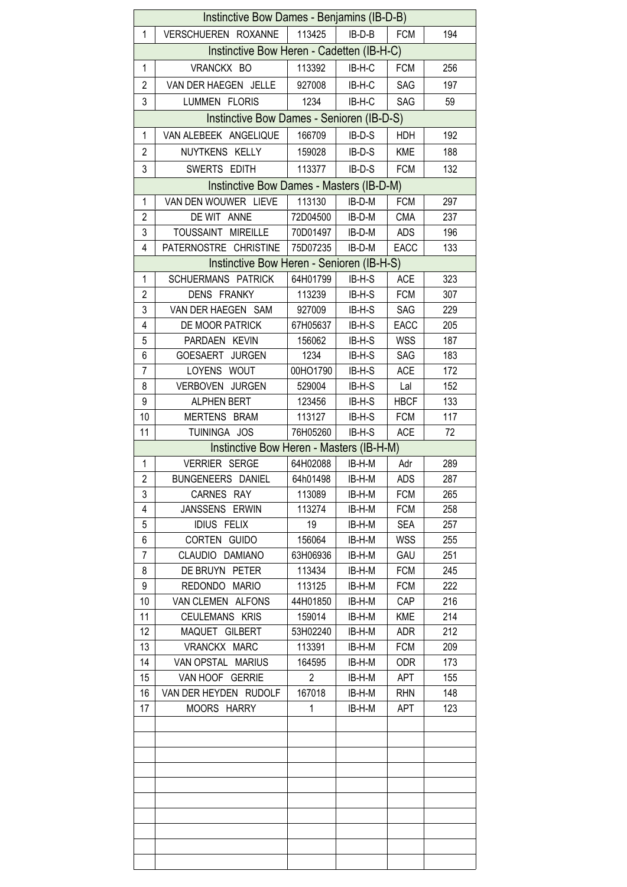| Instinctive Bow Dames - Benjamins (IB-D-B)                                                                |                                           |                |          |             |     |  |  |  |
|-----------------------------------------------------------------------------------------------------------|-------------------------------------------|----------------|----------|-------------|-----|--|--|--|
| $\mathbf{1}$                                                                                              | VERSCHUEREN ROXANNE                       | 113425         | IB-D-B   | <b>FCM</b>  | 194 |  |  |  |
|                                                                                                           | Instinctive Bow Heren - Cadetten (IB-H-C) |                |          |             |     |  |  |  |
| $\mathbf{1}$                                                                                              | VRANCKX BO                                | 113392         | IB-H-C   | <b>FCM</b>  | 256 |  |  |  |
| $\overline{2}$                                                                                            | VAN DER HAEGEN JELLE                      | 927008         | IB-H-C   | SAG         | 197 |  |  |  |
| 3                                                                                                         | LUMMEN FLORIS                             | 1234           | IB-H-C   | SAG         | 59  |  |  |  |
|                                                                                                           |                                           |                |          |             |     |  |  |  |
| Instinctive Bow Dames - Senioren (IB-D-S)<br>1<br>VAN ALEBEEK ANGELIQUE<br>166709<br>IB-D-S<br>HDH<br>192 |                                           |                |          |             |     |  |  |  |
| $\overline{2}$                                                                                            | NUYTKENS KELLY                            | 159028         | $IB-D-S$ | <b>KME</b>  | 188 |  |  |  |
| 3                                                                                                         | SWERTS EDITH                              | 113377         | IB-D-S   | <b>FCM</b>  | 132 |  |  |  |
| Instinctive Bow Dames - Masters (IB-D-M)                                                                  |                                           |                |          |             |     |  |  |  |
| 1                                                                                                         | VAN DEN WOUWER LIEVE                      | 113130         | IB-D-M   | <b>FCM</b>  | 297 |  |  |  |
| $\overline{2}$                                                                                            | DE WIT ANNE                               | 72D04500       | IB-D-M   | <b>CMA</b>  | 237 |  |  |  |
| 3                                                                                                         | TOUSSAINT MIREILLE                        | 70D01497       | IB-D-M   | <b>ADS</b>  | 196 |  |  |  |
| $\overline{4}$                                                                                            | PATERNOSTRE CHRISTINE                     | 75D07235       | IB-D-M   | EACC        | 133 |  |  |  |
|                                                                                                           | Instinctive Bow Heren - Senioren (IB-H-S) |                |          |             |     |  |  |  |
| 1                                                                                                         | SCHUERMANS PATRICK                        | 64H01799       | IB-H-S   | <b>ACE</b>  | 323 |  |  |  |
| $\overline{2}$                                                                                            | DENS FRANKY                               | 113239         | IB-H-S   | <b>FCM</b>  | 307 |  |  |  |
| 3                                                                                                         | VAN DER HAEGEN SAM                        | 927009         | IB-H-S   | SAG         | 229 |  |  |  |
| 4                                                                                                         | DE MOOR PATRICK                           | 67H05637       | IB-H-S   | <b>EACC</b> | 205 |  |  |  |
| 5                                                                                                         | PARDAEN KEVIN                             | 156062         | IB-H-S   | <b>WSS</b>  | 187 |  |  |  |
| 6                                                                                                         | GOESAERT JURGEN                           | 1234           | IB-H-S   | SAG         | 183 |  |  |  |
| $\overline{7}$                                                                                            | LOYENS WOUT                               | 00HO1790       | IB-H-S   | <b>ACE</b>  | 172 |  |  |  |
| 8                                                                                                         | VERBOVEN JURGEN                           | 529004         | IB-H-S   | Lal         | 152 |  |  |  |
| 9                                                                                                         | <b>ALPHEN BERT</b>                        | 123456         | IB-H-S   | <b>HBCF</b> | 133 |  |  |  |
| 10                                                                                                        | MERTENS BRAM                              | 113127         | IB-H-S   | <b>FCM</b>  | 117 |  |  |  |
| 11                                                                                                        | TUININGA JOS                              | 76H05260       | IB-H-S   | <b>ACE</b>  | 72  |  |  |  |
|                                                                                                           | Instinctive Bow Heren - Masters (IB-H-M)  |                |          |             |     |  |  |  |
| $\mathbf{1}$                                                                                              | VERRIER SERGE                             | 64H02088       | IB-H-M   | Adr         | 289 |  |  |  |
| $\overline{c}$                                                                                            | BUNGENEERS DANIEL                         | 64h01498       | IB-H-M   | ADS         | 287 |  |  |  |
| 3                                                                                                         | CARNES RAY                                | 113089         | IB-H-M   | FCM         | 265 |  |  |  |
| 4                                                                                                         | JANSSENS ERWIN                            | 113274         | IB-H-M   | <b>FCM</b>  | 258 |  |  |  |
| 5                                                                                                         | <b>IDIUS FELIX</b>                        | 19             | IB-H-M   | <b>SEA</b>  | 257 |  |  |  |
| 6                                                                                                         | CORTEN GUIDO                              | 156064         | IB-H-M   | <b>WSS</b>  | 255 |  |  |  |
| 7                                                                                                         | CLAUDIO DAMIANO                           | 63H06936       | IB-H-M   | GAU         | 251 |  |  |  |
| 8                                                                                                         | DE BRUYN PETER                            | 113434         | IB-H-M   | <b>FCM</b>  | 245 |  |  |  |
| 9                                                                                                         | REDONDO MARIO                             | 113125         | IB-H-M   | <b>FCM</b>  | 222 |  |  |  |
| 10                                                                                                        | VAN CLEMEN ALFONS                         | 44H01850       | IB-H-M   | CAP         | 216 |  |  |  |
| 11                                                                                                        | CEULEMANS KRIS                            | 159014         | IB-H-M   | <b>KME</b>  | 214 |  |  |  |
| 12                                                                                                        | MAQUET GILBERT                            | 53H02240       | IB-H-M   | <b>ADR</b>  | 212 |  |  |  |
| 13                                                                                                        | VRANCKX MARC                              | 113391         | IB-H-M   | <b>FCM</b>  | 209 |  |  |  |
| 14                                                                                                        | VAN OPSTAL MARIUS                         | 164595         | IB-H-M   | <b>ODR</b>  | 173 |  |  |  |
| 15                                                                                                        | VAN HOOF GERRIE                           | $\overline{2}$ | IB-H-M   | <b>APT</b>  | 155 |  |  |  |
| 16                                                                                                        | VAN DER HEYDEN RUDOLF                     | 167018         | IB-H-M   | <b>RHN</b>  | 148 |  |  |  |
| 17                                                                                                        | MOORS HARRY                               | 1              | IB-H-M   | APT         | 123 |  |  |  |
|                                                                                                           |                                           |                |          |             |     |  |  |  |
|                                                                                                           |                                           |                |          |             |     |  |  |  |
|                                                                                                           |                                           |                |          |             |     |  |  |  |
|                                                                                                           |                                           |                |          |             |     |  |  |  |
|                                                                                                           |                                           |                |          |             |     |  |  |  |
|                                                                                                           |                                           |                |          |             |     |  |  |  |
|                                                                                                           |                                           |                |          |             |     |  |  |  |
|                                                                                                           |                                           |                |          |             |     |  |  |  |
|                                                                                                           |                                           |                |          |             |     |  |  |  |
|                                                                                                           |                                           |                |          |             |     |  |  |  |